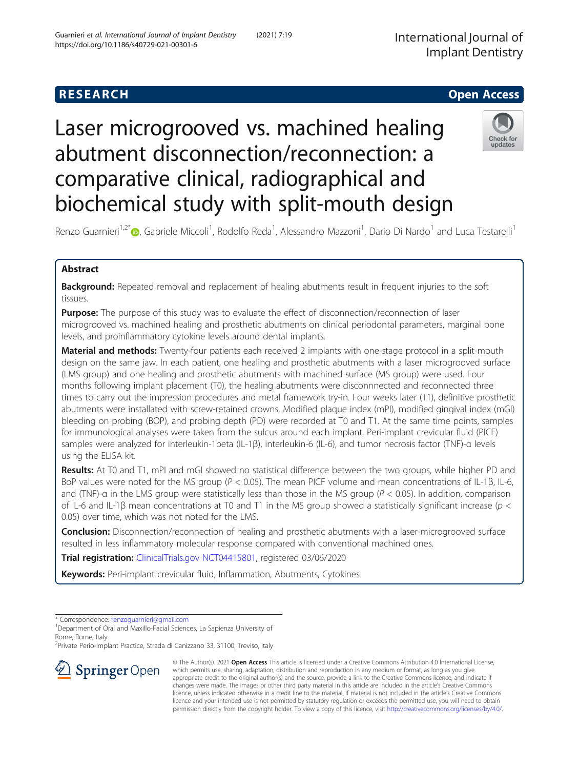Guarnieri et al. International Journal of Implant Dentistry (2021) 7:19

https://doi.org/10.1186/s40729-021-00301-6

comparative clinical, radiographical and

biochemical study with split-mouth design

# undate abutment disconnection/reconnection: a



Renzo Guarnieri<sup>1[,](http://orcid.org/0000-0003-1449-8340)2\*</sup>®, Gabriele Miccoli<sup>1</sup>, Rodolfo Reda<sup>1</sup>, Alessandro Mazzoni<sup>1</sup>, Dario Di Nardo<sup>1</sup> and Luca Testarelli<sup>1</sup>

# Abstract

Background: Repeated removal and replacement of healing abutments result in frequent injuries to the soft tissues.

Purpose: The purpose of this study was to evaluate the effect of disconnection/reconnection of laser microgrooved vs. machined healing and prosthetic abutments on clinical periodontal parameters, marginal bone levels, and proinflammatory cytokine levels around dental implants.

Material and methods: Twenty-four patients each received 2 implants with one-stage protocol in a split-mouth design on the same jaw. In each patient, one healing and prosthetic abutments with a laser microgrooved surface (LMS group) and one healing and prosthetic abutments with machined surface (MS group) were used. Four months following implant placement (T0), the healing abutments were disconnnected and reconnected three times to carry out the impression procedures and metal framework try-in. Four weeks later (T1), definitive prosthetic abutments were installated with screw-retained crowns. Modified plaque index (mPI), modified gingival index (mGI) bleeding on probing (BOP), and probing depth (PD) were recorded at T0 and T1. At the same time points, samples for immunological analyses were taken from the sulcus around each implant. Peri-implant crevicular fluid (PICF) samples were analyzed for interleukin-1beta (IL-1β), interleukin-6 (IL-6), and tumor necrosis factor (TNF)-α levels using the ELISA kit.

Results: At T0 and T1, mPI and mGI showed no statistical difference between the two groups, while higher PD and BoP values were noted for the MS group (P < 0.05). The mean PICF volume and mean concentrations of IL-1β, IL-6, and (TNF)-α in the LMS group were statistically less than those in the MS group ( $P < 0.05$ ). In addition, comparison of IL-6 and IL-1β mean concentrations at T0 and T1 in the MS group showed a statistically significant increase ( $p <$ 0.05) over time, which was not noted for the LMS.

**Conclusion:** Disconnection/reconnection of healing and prosthetic abutments with a laser-microgrooved surface resulted in less inflammatory molecular response compared with conventional machined ones.

Trial registration: [ClinicalTrials.gov](http://clinicaltrials.gov) [NCT04415801](https://register.clinicaltrials.gov/prs/app/action/SelectProtocol?sid=S0009V52&selectaction=Edit&uid=U0003LQX&ts=24&cx=-mviyyi), registered 03/06/2020

Keywords: Peri-implant crevicular fluid, Inflammation, Abutments, Cytokines

\* Correspondence: [renzoguarnieri@gmail.com](mailto:renzoguarnieri@gmail.com) <sup>1</sup>

<sup>1</sup> Department of Oral and Maxillo-Facial Sciences, La Sapienza University of Rome, Rome, Italy

2 Private Perio-Implant Practice, Strada di Canizzano 33, 31100, Treviso, Italy



© The Author(s). 2021 Open Access This article is licensed under a Creative Commons Attribution 4.0 International License, which permits use, sharing, adaptation, distribution and reproduction in any medium or format, as long as you give appropriate credit to the original author(s) and the source, provide a link to the Creative Commons licence, and indicate if changes were made. The images or other third party material in this article are included in the article's Creative Commons licence, unless indicated otherwise in a credit line to the material. If material is not included in the article's Creative Commons licence and your intended use is not permitted by statutory regulation or exceeds the permitted use, you will need to obtain permission directly from the copyright holder. To view a copy of this licence, visit <http://creativecommons.org/licenses/by/4.0/>.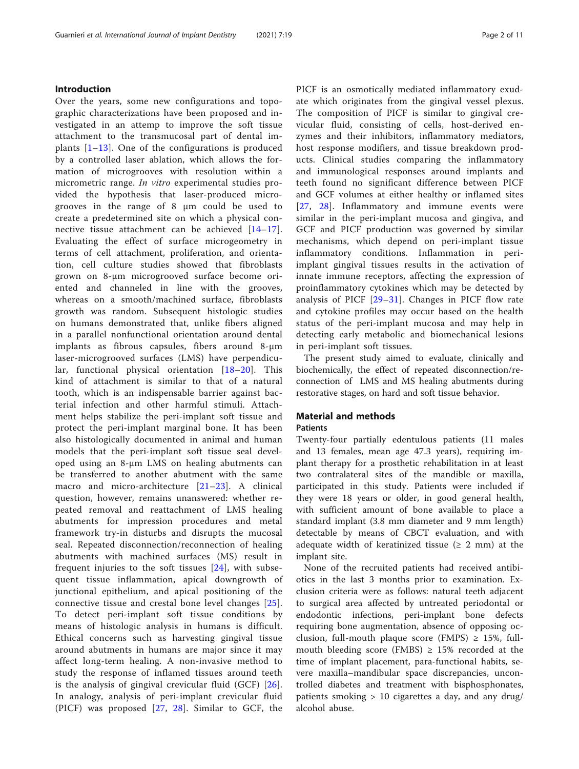# Introduction

Over the years, some new configurations and topographic characterizations have been proposed and investigated in an attemp to improve the soft tissue attachment to the transmucosal part of dental implants [[1](#page-9-0)–[13](#page-9-0)]. One of the configurations is produced by a controlled laser ablation, which allows the formation of microgrooves with resolution within a micrometric range. In vitro experimental studies provided the hypothesis that laser-produced microgrooves in the range of 8 μm could be used to create a predetermined site on which a physical connective tissue attachment can be achieved [[14](#page-9-0)–[17](#page-9-0)]. Evaluating the effect of surface microgeometry in terms of cell attachment, proliferation, and orientation, cell culture studies showed that fibroblasts grown on 8-μm microgrooved surface become oriented and channeled in line with the grooves, whereas on a smooth/machined surface, fibroblasts growth was random. Subsequent histologic studies on humans demonstrated that, unlike fibers aligned in a parallel nonfunctional orientation around dental implants as fibrous capsules, fibers around 8-μm laser-microgrooved surfaces (LMS) have perpendicular, functional physical orientation [\[18](#page-9-0)–[20\]](#page-9-0). This kind of attachment is similar to that of a natural tooth, which is an indispensable barrier against bacterial infection and other harmful stimuli. Attachment helps stabilize the peri-implant soft tissue and protect the peri-implant marginal bone. It has been also histologically documented in animal and human models that the peri-implant soft tissue seal developed using an 8-μm LMS on healing abutments can be transferred to another abutment with the same macro and micro-architecture [\[21](#page-9-0)–[23\]](#page-9-0). A clinical question, however, remains unanswered: whether repeated removal and reattachment of LMS healing abutments for impression procedures and metal framework try-in disturbs and disrupts the mucosal seal. Repeated disconnection/reconnection of healing abutments with machined surfaces (MS) result in frequent injuries to the soft tissues [\[24](#page-9-0)], with subsequent tissue inflammation, apical downgrowth of junctional epithelium, and apical positioning of the connective tissue and crestal bone level changes [[25](#page-9-0)]. To detect peri-implant soft tissue conditions by means of histologic analysis in humans is difficult. Ethical concerns such as harvesting gingival tissue around abutments in humans are major since it may affect long-term healing. A non-invasive method to study the response of inflamed tissues around teeth is the analysis of gingival crevicular fluid (GCF) [[26](#page-9-0)]. In analogy, analysis of peri-implant crevicular fluid (PICF) was proposed [[27](#page-10-0), [28](#page-10-0)]. Similar to GCF, the

PICF is an osmotically mediated inflammatory exudate which originates from the gingival vessel plexus. The composition of PICF is similar to gingival crevicular fluid, consisting of cells, host-derived enzymes and their inhibitors, inflammatory mediators, host response modifiers, and tissue breakdown products. Clinical studies comparing the inflammatory and immunological responses around implants and teeth found no significant difference between PICF and GCF volumes at either healthy or inflamed sites [[27](#page-10-0), [28\]](#page-10-0). Inflammatory and immune events were similar in the peri-implant mucosa and gingiva, and GCF and PICF production was governed by similar mechanisms, which depend on peri-implant tissue inflammatory conditions. Inflammation in peri-

and cytokine profiles may occur based on the health status of the peri-implant mucosa and may help in detecting early metabolic and biomechanical lesions in peri-implant soft tissues. The present study aimed to evaluate, clinically and biochemically, the effect of repeated disconnection/re-

implant gingival tissues results in the activation of innate immune receptors, affecting the expression of proinflammatory cytokines which may be detected by analysis of PICF  $[29-31]$  $[29-31]$  $[29-31]$  $[29-31]$ . Changes in PICF flow rate

connection of LMS and MS healing abutments during restorative stages, on hard and soft tissue behavior.

# Material and methods Patients

# Twenty-four partially edentulous patients (11 males and 13 females, mean age 47.3 years), requiring implant therapy for a prosthetic rehabilitation in at least two contralateral sites of the mandible or maxilla, participated in this study. Patients were included if they were 18 years or older, in good general health,

with sufficient amount of bone available to place a standard implant (3.8 mm diameter and 9 mm length) detectable by means of CBCT evaluation, and with adequate width of keratinized tissue ( $\geq 2$  mm) at the implant site.

None of the recruited patients had received antibiotics in the last 3 months prior to examination. Exclusion criteria were as follows: natural teeth adjacent to surgical area affected by untreated periodontal or endodontic infections, peri-implant bone defects requiring bone augmentation, absence of opposing occlusion, full-mouth plaque score (FMPS)  $\geq$  15%, fullmouth bleeding score (FMBS)  $\geq$  15% recorded at the time of implant placement, para-functional habits, severe maxilla–mandibular space discrepancies, uncontrolled diabetes and treatment with bisphosphonates, patients smoking > 10 cigarettes a day, and any drug/ alcohol abuse.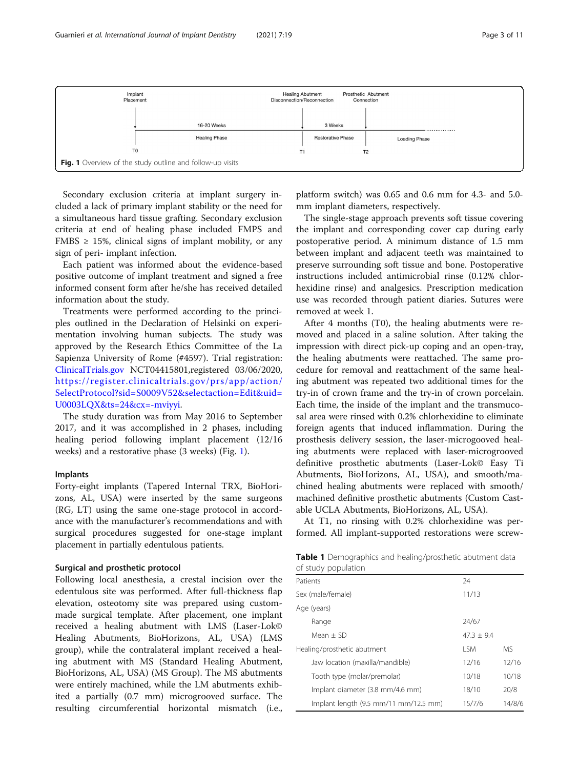<span id="page-2-0"></span>

Secondary exclusion criteria at implant surgery included a lack of primary implant stability or the need for a simultaneous hard tissue grafting. Secondary exclusion criteria at end of healing phase included FMPS and FMBS  $\geq$  15%, clinical signs of implant mobility, or any sign of peri- implant infection.

Each patient was informed about the evidence-based positive outcome of implant treatment and signed a free informed consent form after he/she has received detailed information about the study.

Treatments were performed according to the principles outlined in the Declaration of Helsinki on experimentation involving human subjects. The study was approved by the Research Ethics Committee of the La Sapienza University of Rome (#4597). Trial registration: [ClinicalTrials.gov](http://clinicaltrials.gov) NCT04415801,registered 03/06/2020, [https://register.clinicaltrials.gov/prs/app/action/](https://register.clinicaltrials.gov/prs/app/action/SelectProtocol?sid=S0009V52&selectaction=Edit&uid=U0003LQX&ts=24&cx=-mviyyi) [SelectProtocol?sid=S0009V52&selectaction=Edit&uid=](https://register.clinicaltrials.gov/prs/app/action/SelectProtocol?sid=S0009V52&selectaction=Edit&uid=U0003LQX&ts=24&cx=-mviyyi) [U0003LQX&ts=24&cx=-mviyyi](https://register.clinicaltrials.gov/prs/app/action/SelectProtocol?sid=S0009V52&selectaction=Edit&uid=U0003LQX&ts=24&cx=-mviyyi).

The study duration was from May 2016 to September 2017, and it was accomplished in 2 phases, including healing period following implant placement (12/16 weeks) and a restorative phase (3 weeks) (Fig. 1).

### Implants

Forty-eight implants (Tapered Internal TRX, BioHorizons, AL, USA) were inserted by the same surgeons (RG, LT) using the same one-stage protocol in accordance with the manufacturer's recommendations and with surgical procedures suggested for one-stage implant placement in partially edentulous patients.

# Surgical and prosthetic protocol

Following local anesthesia, a crestal incision over the edentulous site was performed. After full-thickness flap elevation, osteotomy site was prepared using custommade surgical template. After placement, one implant received a healing abutment with LMS (Laser-Lok© Healing Abutments, BioHorizons, AL, USA) (LMS group), while the contralateral implant received a healing abutment with MS (Standard Healing Abutment, BioHorizons, AL, USA) (MS Group). The MS abutments were entirely machined, while the LM abutments exhibited a partially (0.7 mm) microgrooved surface. The resulting circumferential horizontal mismatch (i.e.,

platform switch) was 0.65 and 0.6 mm for 4.3- and 5.0 mm implant diameters, respectively.

The single-stage approach prevents soft tissue covering the implant and corresponding cover cap during early postoperative period. A minimum distance of 1.5 mm between implant and adjacent teeth was maintained to preserve surrounding soft tissue and bone. Postoperative instructions included antimicrobial rinse (0.12% chlorhexidine rinse) and analgesics. Prescription medication use was recorded through patient diaries. Sutures were removed at week 1.

After 4 months (T0), the healing abutments were removed and placed in a saline solution. After taking the impression with direct pick-up coping and an open-tray, the healing abutments were reattached. The same procedure for removal and reattachment of the same healing abutment was repeated two additional times for the try-in of crown frame and the try-in of crown porcelain. Each time, the inside of the implant and the transmucosal area were rinsed with 0.2% chlorhexidine to eliminate foreign agents that induced inflammation. During the prosthesis delivery session, the laser-microgooved healing abutments were replaced with laser-microgrooved definitive prosthetic abutments (Laser-Lok© Easy Ti Abutments, BioHorizons, AL, USA), and smooth/machined healing abutments were replaced with smooth/ machined definitive prosthetic abutments (Custom Castable UCLA Abutments, BioHorizons, AL, USA).

At T1, no rinsing with 0.2% chlorhexidine was performed. All implant-supported restorations were screw-

Table 1 Demographics and healing/prosthetic abutment data of study population

| or study population                   |              |        |
|---------------------------------------|--------------|--------|
| Patients                              | 24           |        |
| Sex (male/female)                     | 11/13        |        |
| Age (years)                           |              |        |
| Range                                 | 24/67        |        |
| Mean $+$ SD                           | $47.3 + 9.4$ |        |
| Healing/prosthetic abutment           | I SM         | MS.    |
| Jaw location (maxilla/mandible)       | 12/16        | 12/16  |
| Tooth type (molar/premolar)           | 10/18        | 10/18  |
| Implant diameter (3.8 mm/4.6 mm)      | 18/10        | 20/8   |
| Implant length (9.5 mm/11 mm/12.5 mm) | 15/7/6       | 14/8/6 |
|                                       |              |        |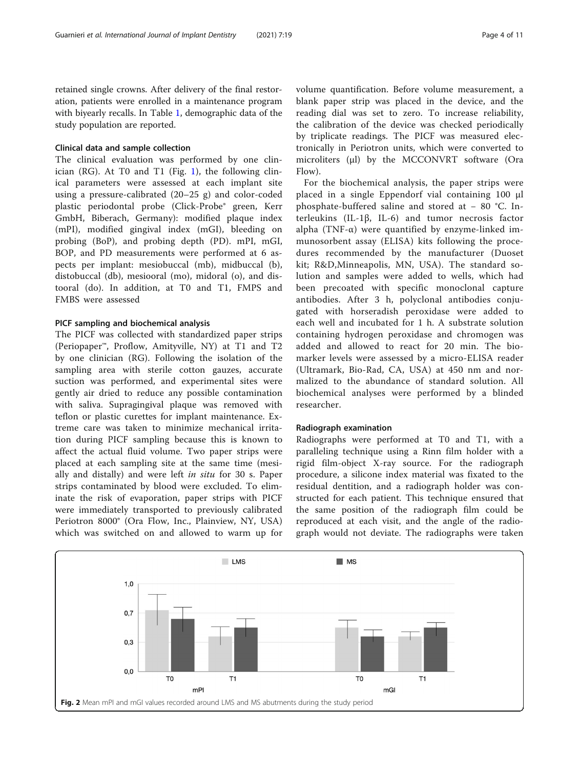<span id="page-3-0"></span>retained single crowns. After delivery of the final restoration, patients were enrolled in a maintenance program with biyearly recalls. In Table [1](#page-2-0), demographic data of the study population are reported.

# Clinical data and sample collection

The clinical evaluation was performed by one clin-ician (RG). At T0 and T[1](#page-2-0) (Fig. 1), the following clinical parameters were assessed at each implant site using a pressure-calibrated (20–25 g) and color-coded plastic periodontal probe (Click-Probe® green, Kerr GmbH, Biberach, Germany): modified plaque index (mPI), modified gingival index (mGI), bleeding on probing (BoP), and probing depth (PD). mPI, mGI, BOP, and PD measurements were performed at 6 aspects per implant: mesiobuccal (mb), midbuccal (b), distobuccal (db), mesiooral (mo), midoral (o), and distooral (do). In addition, at T0 and T1, FMPS and FMBS were assessed

# PICF sampling and biochemical analysis

The PICF was collected with standardized paper strips (Periopaper™, Proflow, Amityville, NY) at T1 and T2 by one clinician (RG). Following the isolation of the sampling area with sterile cotton gauzes, accurate suction was performed, and experimental sites were gently air dried to reduce any possible contamination with saliva. Supragingival plaque was removed with teflon or plastic curettes for implant maintenance. Extreme care was taken to minimize mechanical irritation during PICF sampling because this is known to affect the actual fluid volume. Two paper strips were placed at each sampling site at the same time (mesially and distally) and were left in situ for 30 s. Paper strips contaminated by blood were excluded. To eliminate the risk of evaporation, paper strips with PICF were immediately transported to previously calibrated Periotron 8000® (Ora Flow, Inc., Plainview, NY, USA) which was switched on and allowed to warm up for volume quantification. Before volume measurement, a blank paper strip was placed in the device, and the reading dial was set to zero. To increase reliability, the calibration of the device was checked periodically by triplicate readings. The PICF was measured electronically in Periotron units, which were converted to microliters (μl) by the MCCONVRT software (Ora Flow).

For the biochemical analysis, the paper strips were placed in a single Eppendorf vial containing 100 μl phosphate-buffered saline and stored at − 80 °C. Interleukins (IL-1β, IL-6) and tumor necrosis factor alpha (TNF- $\alpha$ ) were quantified by enzyme-linked immunosorbent assay (ELISA) kits following the procedures recommended by the manufacturer (Duoset kit; R&D,Minneapolis, MN, USA). The standard solution and samples were added to wells, which had been precoated with specific monoclonal capture antibodies. After 3 h, polyclonal antibodies conjugated with horseradish peroxidase were added to each well and incubated for 1 h. A substrate solution containing hydrogen peroxidase and chromogen was added and allowed to react for 20 min. The biomarker levels were assessed by a micro-ELISA reader (Ultramark, Bio-Rad, CA, USA) at 450 nm and normalized to the abundance of standard solution. All biochemical analyses were performed by a blinded researcher.

### Radiograph examination

Radiographs were performed at T0 and T1, with a paralleling technique using a Rinn film holder with a rigid film-object X-ray source. For the radiograph procedure, a silicone index material was fixated to the residual dentition, and a radiograph holder was constructed for each patient. This technique ensured that the same position of the radiograph film could be reproduced at each visit, and the angle of the radiograph would not deviate. The radiographs were taken

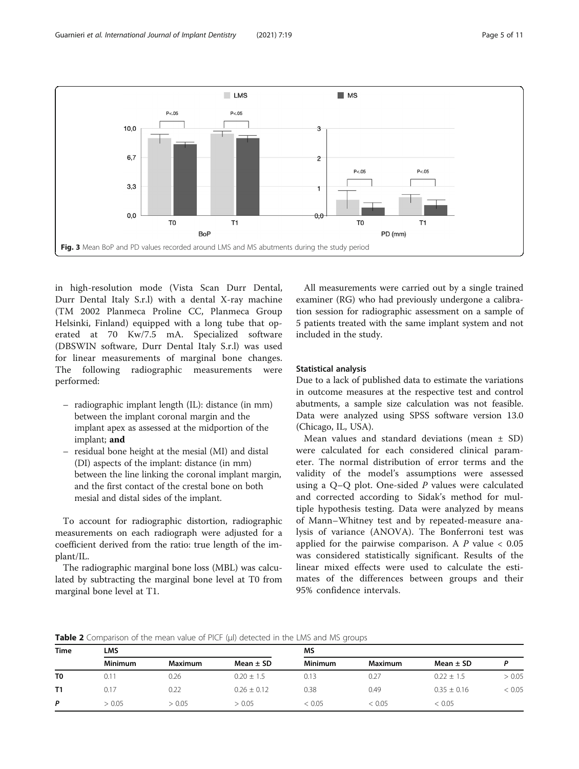<span id="page-4-0"></span>

in high-resolution mode (Vista Scan Durr Dental, Durr Dental Italy S.r.l) with a dental X-ray machine (TM 2002 Planmeca Proline CC, Planmeca Group Helsinki, Finland) equipped with a long tube that operated at 70 Kw/7.5 mA. Specialized software (DBSWIN software, Durr Dental Italy S.r.l) was used for linear measurements of marginal bone changes. The following radiographic measurements were performed:

- radiographic implant length (IL): distance (in mm) between the implant coronal margin and the implant apex as assessed at the midportion of the implant; and
- residual bone height at the mesial (MI) and distal (DI) aspects of the implant: distance (in mm) between the line linking the coronal implant margin, and the first contact of the crestal bone on both mesial and distal sides of the implant.

To account for radiographic distortion, radiographic measurements on each radiograph were adjusted for a coefficient derived from the ratio: true length of the implant/IL.

The radiographic marginal bone loss (MBL) was calculated by subtracting the marginal bone level at T0 from marginal bone level at T1.

All measurements were carried out by a single trained examiner (RG) who had previously undergone a calibration session for radiographic assessment on a sample of 5 patients treated with the same implant system and not included in the study.

# Statistical analysis

Due to a lack of published data to estimate the variations in outcome measures at the respective test and control abutments, a sample size calculation was not feasible. Data were analyzed using SPSS software version 13.0 (Chicago, IL, USA).

Mean values and standard deviations (mean  $\pm$  SD) were calculated for each considered clinical parameter. The normal distribution of error terms and the validity of the model's assumptions were assessed using a Q–Q plot. One-sided P values were calculated and corrected according to Sidak's method for multiple hypothesis testing. Data were analyzed by means of Mann–Whitney test and by repeated-measure analysis of variance (ANOVA). The Bonferroni test was applied for the pairwise comparison. A  $P$  value  $< 0.05$ was considered statistically significant. Results of the linear mixed effects were used to calculate the estimates of the differences between groups and their 95% confidence intervals.

**Table 2** Comparison of the mean value of PICF ( $\mu$ I) detected in the LMS and MS groups

| LMS            |                |                 | MS             |                       |                 |        |  |
|----------------|----------------|-----------------|----------------|-----------------------|-----------------|--------|--|
| <b>Minimum</b> | <b>Maximum</b> | Mean $\pm$ SD   | <b>Minimum</b> | Maximum               | Mean $\pm$ SD   |        |  |
| 0.11           | 0.26           | $0.20 \pm 1.5$  | 0.13           | 0.27                  | $0.22 \pm 1.5$  | > 0.05 |  |
| 0.17           | 0.22           | $0.26 \pm 0.12$ | 0.38           | 0.49                  | $0.35 \pm 0.16$ | < 0.05 |  |
| > 0.05         | > 0.05         | > 0.05          | < 0.05         | < 0.05                | < 0.05          |        |  |
|                |                |                 |                | $\tilde{\phantom{a}}$ |                 |        |  |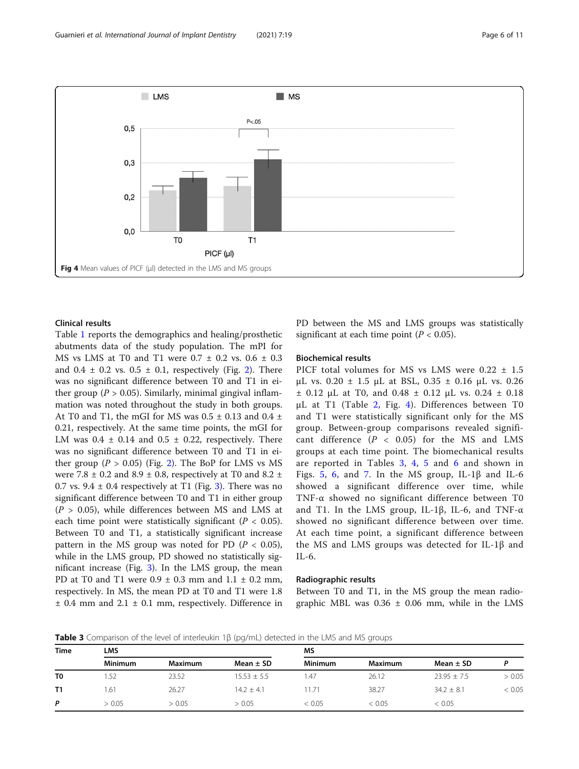

# Clinical results

Table [1](#page-2-0) reports the demographics and healing/prosthetic abutments data of the study population. The mPI for MS vs LMS at T0 and T1 were  $0.7 \pm 0.2$  vs.  $0.6 \pm 0.3$ and  $0.4 \pm 0.2$  vs.  $0.5 \pm 0.1$ , respectively (Fig. [2\)](#page-3-0). There was no significant difference between T0 and T1 in either group ( $P > 0.05$ ). Similarly, minimal gingival inflammation was noted throughout the study in both groups. At T0 and T1, the mGI for MS was  $0.5 \pm 0.13$  and  $0.4 \pm$ 0.21, respectively. At the same time points, the mGI for LM was  $0.4 \pm 0.14$  and  $0.5 \pm 0.22$ , respectively. There was no significant difference between T0 and T1 in either group ( $P > 0.05$ ) (Fig. [2](#page-3-0)). The BoP for LMS vs MS were 7.8  $\pm$  0.2 and 8.9  $\pm$  0.8, respectively at T0 and 8.2  $\pm$ 0.7 vs.  $9.4 \pm 0.4$  respectively at T1 (Fig. [3\)](#page-4-0). There was no significant difference between T0 and T1 in either group  $(P > 0.05)$ , while differences between MS and LMS at each time point were statistically significant ( $P < 0.05$ ). Between T0 and T1, a statistically significant increase pattern in the MS group was noted for PD  $(P < 0.05)$ , while in the LMS group, PD showed no statistically significant increase (Fig. [3](#page-4-0)). In the LMS group, the mean PD at T0 and T1 were  $0.9 \pm 0.3$  mm and  $1.1 \pm 0.2$  mm, respectively. In MS, the mean PD at T0 and T1 were 1.8  $±$  0.4 mm and 2.1  $±$  0.1 mm, respectively. Difference in PD between the MS and LMS groups was statistically significant at each time point ( $P < 0.05$ ).

# Biochemical results

PICF total volumes for MS vs LMS were 0.22  $\pm$  1.5 μL vs. 0.20 ± 1.5 μL at BSL, 0.35 ± 0.16 μL vs. 0.26  $\pm$  0.12 μL at T0, and 0.48  $\pm$  0.12 μL vs. 0.24  $\pm$  0.18 μL at T1 (Table [2](#page-4-0), Fig. 4). Differences between T0 and T1 were statistically significant only for the MS group. Between-group comparisons revealed significant difference  $(P < 0.05)$  for the MS and LMS groups at each time point. The biomechanical results are reported in Tables 3, [4,](#page-6-0) [5](#page-6-0) and [6](#page-7-0) and shown in Figs. [5](#page-7-0), [6,](#page-8-0) and [7.](#page-8-0) In the MS group, IL-1 $\beta$  and IL-6 showed a significant difference over time, while TNF-α showed no significant difference between T0 and T1. In the LMS group, IL-1β, IL-6, and TNF-α showed no significant difference between over time. At each time point, a significant difference between the MS and LMS groups was detected for IL-1β and IL-6.

#### Radiographic results

Between T0 and T1, in the MS group the mean radiographic MBL was  $0.36 \pm 0.06$  mm, while in the LMS

Table 3 Comparison of the level of interleukin 1β (pg/mL) detected in the LMS and MS groups

|                |                |         | - 7             |                | $\tilde{\phantom{a}}$ |                 |        |
|----------------|----------------|---------|-----------------|----------------|-----------------------|-----------------|--------|
| <b>Time</b>    | LMS            |         |                 | MS             |                       |                 |        |
|                | <b>Minimum</b> | Maximum | Mean $\pm$ SD   | <b>Minimum</b> | Maximum               | Mean $\pm$ SD   |        |
| T <sub>0</sub> | 1.52           | 23.52   | $15.53 \pm 5.5$ | .47            | 26.12                 | $23.95 \pm 7.5$ | > 0.05 |
| <b>T1</b>      | 1.61           | 26.27   | $14.2 + 4.1$    | 11.71          | 38.27                 | $34.2 \pm 8.1$  | < 0.05 |
| P              | > 0.05         | > 0.05  | > 0.05          | < 0.05         | < 0.05                | < 0.05          |        |
|                |                |         |                 |                |                       |                 |        |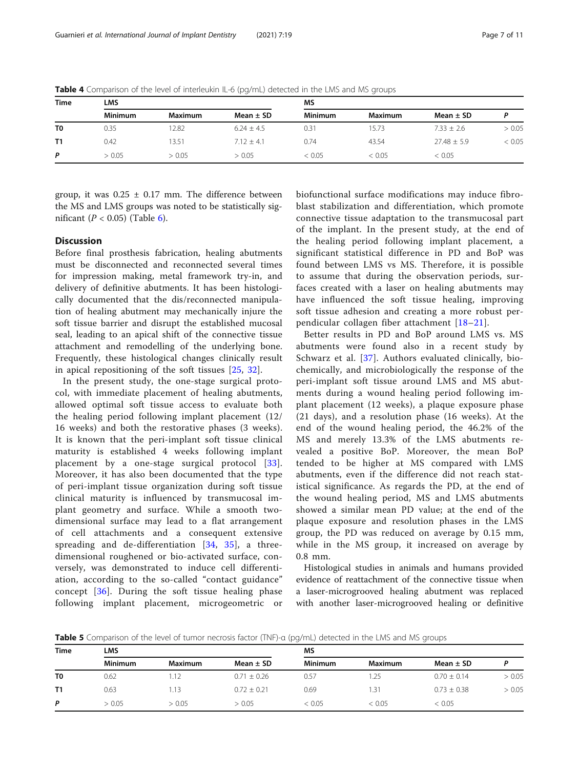| <b>Time</b> | LMS            |                |                | MS             |                |                |        |
|-------------|----------------|----------------|----------------|----------------|----------------|----------------|--------|
|             | <b>Minimum</b> | <b>Maximum</b> | Mean $\pm$ SD  | <b>Minimum</b> | <b>Maximum</b> | Mean $\pm$ SD  |        |
| T0          | 0.35           | 2.82           | $6.24 \pm 4.5$ | 0.31           | 15.73          | $7.33 \pm 2.6$ | > 0.05 |
| Τ1          | 0.42           | 13.51          | $7.12 + 4.1$   | 0.74           | 43.54          | $27.48 + 5.9$  | < 0.05 |
| P           | > 0.05         | > 0.05         | > 0.05         | < 0.05         | < 0.05         | < 0.05         |        |

<span id="page-6-0"></span>Table 4 Comparison of the level of interleukin IL-6 (pg/mL) detected in the LMS and MS groups

group, it was  $0.25 \pm 0.17$  mm. The difference between the MS and LMS groups was noted to be statistically significant ( $P < 0.05$ ) (Table [6](#page-7-0)).

# **Discussion**

Before final prosthesis fabrication, healing abutments must be disconnected and reconnected several times for impression making, metal framework try-in, and delivery of definitive abutments. It has been histologically documented that the dis/reconnected manipulation of healing abutment may mechanically injure the soft tissue barrier and disrupt the established mucosal seal, leading to an apical shift of the connective tissue attachment and remodelling of the underlying bone. Frequently, these histological changes clinically result in apical repositioning of the soft tissues [[25](#page-9-0), [32\]](#page-10-0).

In the present study, the one-stage surgical protocol, with immediate placement of healing abutments, allowed optimal soft tissue access to evaluate both the healing period following implant placement (12/ 16 weeks) and both the restorative phases (3 weeks). It is known that the peri-implant soft tissue clinical maturity is established 4 weeks following implant placement by a one-stage surgical protocol [[33](#page-10-0)]. Moreover, it has also been documented that the type of peri-implant tissue organization during soft tissue clinical maturity is influenced by transmucosal implant geometry and surface. While a smooth twodimensional surface may lead to a flat arrangement of cell attachments and a consequent extensive spreading and de-differentiation [[34,](#page-10-0) [35](#page-10-0)], a threedimensional roughened or bio-activated surface, conversely, was demonstrated to induce cell differentiation, according to the so-called "contact guidance" concept [[36\]](#page-10-0). During the soft tissue healing phase following implant placement, microgeometric or biofunctional surface modifications may induce fibroblast stabilization and differentiation, which promote connective tissue adaptation to the transmucosal part of the implant. In the present study, at the end of the healing period following implant placement, a significant statistical difference in PD and BoP was found between LMS vs MS. Therefore, it is possible to assume that during the observation periods, surfaces created with a laser on healing abutments may have influenced the soft tissue healing, improving soft tissue adhesion and creating a more robust perpendicular collagen fiber attachment [\[18](#page-9-0)–[21\]](#page-9-0).

Better results in PD and BoP around LMS vs. MS abutments were found also in a recent study by Schwarz et al. [[37](#page-10-0)]. Authors evaluated clinically, biochemically, and microbiologically the response of the peri-implant soft tissue around LMS and MS abutments during a wound healing period following implant placement (12 weeks), a plaque exposure phase (21 days), and a resolution phase (16 weeks). At the end of the wound healing period, the 46.2% of the MS and merely 13.3% of the LMS abutments revealed a positive BoP. Moreover, the mean BoP tended to be higher at MS compared with LMS abutments, even if the difference did not reach statistical significance. As regards the PD, at the end of the wound healing period, MS and LMS abutments showed a similar mean PD value; at the end of the plaque exposure and resolution phases in the LMS group, the PD was reduced on average by 0.15 mm, while in the MS group, it increased on average by 0.8 mm.

Histological studies in animals and humans provided evidence of reattachment of the connective tissue when a laser-microgrooved healing abutment was replaced with another laser-microgrooved healing or definitive

Table 5 Comparison of the level of tumor necrosis factor (TNF)-α (pg/mL) detected in the LMS and MS groups

| <b>Time</b>    | LMS            |                |                 | MS             |         |                 |        |
|----------------|----------------|----------------|-----------------|----------------|---------|-----------------|--------|
|                | <b>Minimum</b> | <b>Maximum</b> | Mean $\pm$ SD   | <b>Minimum</b> | Maximum | Mean $\pm$ SD   |        |
| T <sub>0</sub> | 0.62           | 1.12           | $0.71 \pm 0.26$ | 0.57           | .25     | $0.70 \pm 0.14$ | > 0.05 |
| <b>T1</b>      | 0.63           | 1.13           | $0.72 \pm 0.21$ | 0.69           | 1.31    | $0.73 \pm 0.38$ | > 0.05 |
| P              | > 0.05         | > 0.05         | > 0.05          | < 0.05         | < 0.05  | < 0.05          |        |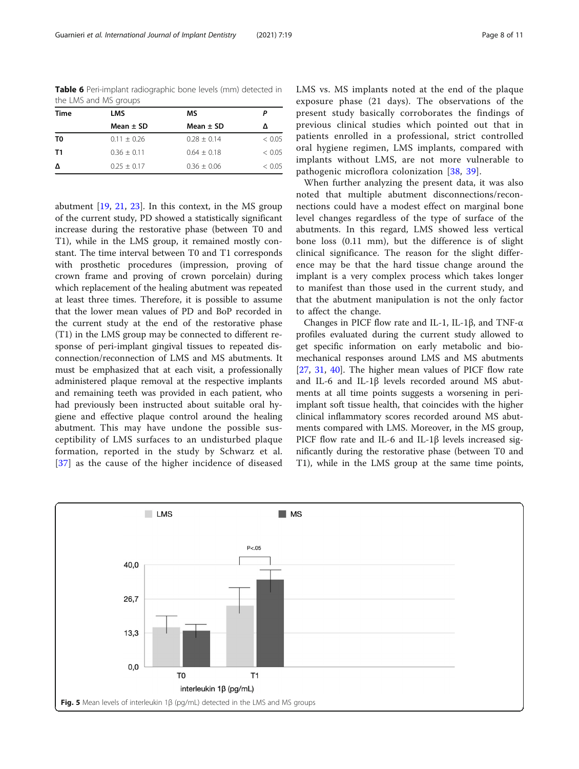<span id="page-7-0"></span>Table 6 Peri-implant radiographic bone levels (mm) detected in the LMS and MS groups

| <b>Time</b> | <b>LMS</b>      | ΜS              |        |
|-------------|-----------------|-----------------|--------|
|             | Mean $\pm$ SD   | Mean $\pm$ SD   | Δ      |
| T0          | $0.11 \pm 0.26$ | $0.28 + 0.14$   | < 0.05 |
| T1          | $0.36 + 0.11$   | $0.64 + 0.18$   | < 0.05 |
| Δ           | $0.25 + 0.17$   | $0.36 \pm 0.06$ | < 0.05 |

abutment [[19,](#page-9-0) [21](#page-9-0), [23\]](#page-9-0). In this context, in the MS group of the current study, PD showed a statistically significant increase during the restorative phase (between T0 and T1), while in the LMS group, it remained mostly constant. The time interval between T0 and T1 corresponds with prosthetic procedures (impression, proving of crown frame and proving of crown porcelain) during which replacement of the healing abutment was repeated at least three times. Therefore, it is possible to assume that the lower mean values of PD and BoP recorded in the current study at the end of the restorative phase (T1) in the LMS group may be connected to different response of peri-implant gingival tissues to repeated disconnection/reconnection of LMS and MS abutments. It must be emphasized that at each visit, a professionally administered plaque removal at the respective implants and remaining teeth was provided in each patient, who had previously been instructed about suitable oral hygiene and effective plaque control around the healing abutment. This may have undone the possible susceptibility of LMS surfaces to an undisturbed plaque formation, reported in the study by Schwarz et al. [[37](#page-10-0)] as the cause of the higher incidence of diseased LMS vs. MS implants noted at the end of the plaque exposure phase (21 days). The observations of the present study basically corroborates the findings of previous clinical studies which pointed out that in patients enrolled in a professional, strict controlled oral hygiene regimen, LMS implants, compared with implants without LMS, are not more vulnerable to pathogenic microflora colonization [\[38](#page-10-0), [39\]](#page-10-0).

When further analyzing the present data, it was also noted that multiple abutment disconnections/reconnections could have a modest effect on marginal bone level changes regardless of the type of surface of the abutments. In this regard, LMS showed less vertical bone loss (0.11 mm), but the difference is of slight clinical significance. The reason for the slight difference may be that the hard tissue change around the implant is a very complex process which takes longer to manifest than those used in the current study, and that the abutment manipulation is not the only factor to affect the change.

Changes in PICF flow rate and IL-1, IL-1β, and TNF-α profiles evaluated during the current study allowed to get specific information on early metabolic and biomechanical responses around LMS and MS abutments [[27,](#page-10-0) [31,](#page-10-0) [40\]](#page-10-0). The higher mean values of PICF flow rate and IL-6 and IL-1β levels recorded around MS abutments at all time points suggests a worsening in periimplant soft tissue health, that coincides with the higher clinical inflammatory scores recorded around MS abutments compared with LMS. Moreover, in the MS group, PICF flow rate and IL-6 and IL-1β levels increased significantly during the restorative phase (between T0 and T1), while in the LMS group at the same time points,

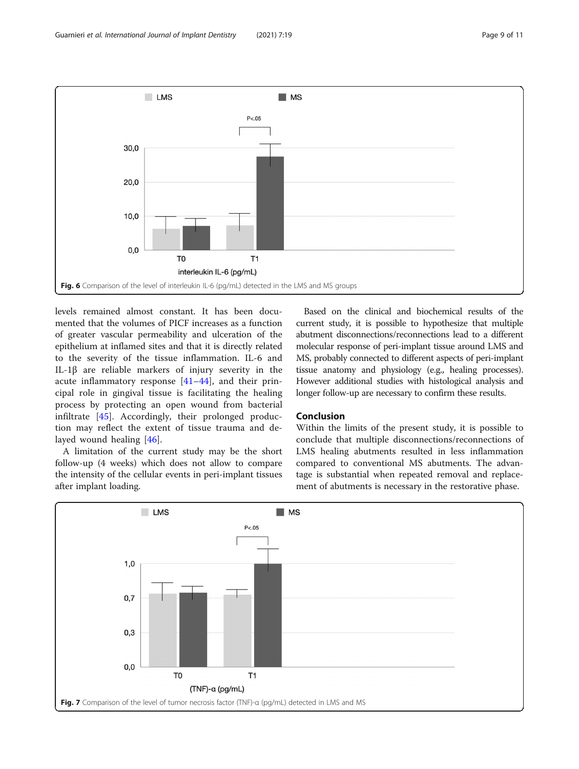<span id="page-8-0"></span>

levels remained almost constant. It has been documented that the volumes of PICF increases as a function of greater vascular permeability and ulceration of the epithelium at inflamed sites and that it is directly related to the severity of the tissue inflammation. IL-6 and IL-1β are reliable markers of injury severity in the acute inflammatory response  $[41-44]$  $[41-44]$  $[41-44]$  $[41-44]$ , and their principal role in gingival tissue is facilitating the healing process by protecting an open wound from bacterial infiltrate [[45](#page-10-0)]. Accordingly, their prolonged production may reflect the extent of tissue trauma and delayed wound healing [\[46](#page-10-0)].

A limitation of the current study may be the short follow-up (4 weeks) which does not allow to compare the intensity of the cellular events in peri-implant tissues after implant loading.

Based on the clinical and biochemical results of the current study, it is possible to hypothesize that multiple abutment disconnections/reconnections lead to a different molecular response of peri-implant tissue around LMS and MS, probably connected to different aspects of peri-implant tissue anatomy and physiology (e.g., healing processes). However additional studies with histological analysis and longer follow-up are necessary to confirm these results.

# Conclusion

Within the limits of the present study, it is possible to conclude that multiple disconnections/reconnections of LMS healing abutments resulted in less inflammation compared to conventional MS abutments. The advantage is substantial when repeated removal and replacement of abutments is necessary in the restorative phase.

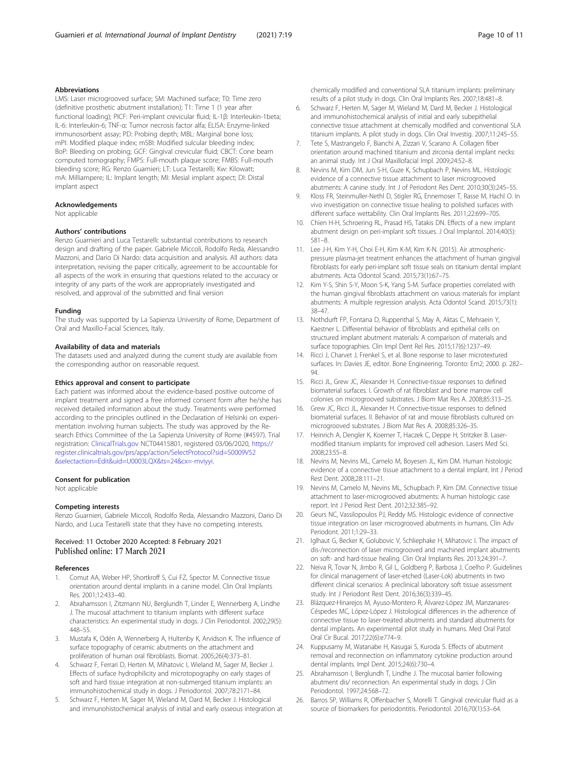# <span id="page-9-0"></span>Abbreviations

LMS: Laser microgrooved surface; SM: Machined surface; T0: Time zero (definitive prosthetic abutment installation); T1: Time 1 (1 year after functional loading); PICF: Peri-implant crevicular fluid; IL-1β: Interleukin-1beta; IL-6: Interleukin-6; TNF-α: Tumor necrosis factor alfa; ELISA: Enzyme-linked immunosorbent assay; PD: Probing depth; MBL: Marginal bone loss; mPI: Modified plaque index; mSBI: Modified sulcular bleeding index; BoP: Bleeding on probing; GCF: Gingival crevicular fluid; CBCT: Cone beam computed tomography; FMPS: Full-mouth plaque score; FMBS: Full-mouth bleeding score; RG: Renzo Guarnieri; LT: Luca Testarelli; Kw: Kilowatt; mA: Milliampere; IL: Implant length; MI: Mesial implant aspect; DI: Distal implant aspect

#### Acknowledgements

Not applicable

# Authors' contributions

Renzo Guarnieri and Luca Testarelli: substantial contributions to research design and drafting of the paper. Gabriele Miccoli, Rodolfo Reda, Alessandro Mazzoni, and Dario Di Nardo: data acquisition and analysis. All authors: data interpretation, revising the paper critically, agreement to be accountable for all aspects of the work in ensuring that questions related to the accuracy or integrity of any parts of the work are appropriately investigated and resolved, and approval of the submitted and final version

#### Funding

The study was supported by La Sapienza University of Rome, Department of Oral and Maxillo-Facial Sciences, Italy.

# Availability of data and materials

The datasets used and analyzed during the current study are available from the corresponding author on reasonable request.

#### Ethics approval and consent to participate

Each patient was informed about the evidence-based positive outcome of implant treatment and signed a free informed consent form after he/she has received detailed information about the study. Treatments were performed according to the principles outlined in the Declaration of Helsinki on experimentation involving human subjects. The study was approved by the Research Ethics Committee of the La Sapienza University of Rome (#4597). Trial registration: [ClinicalTrials.gov](http://clinicaltrials.gov) NCT04415801, registered 03/06/2020, [https://](https://register.clinicaltrials.gov/prs/app/action/SelectProtocol?sid=S0009V52&selectaction=Edit&uid=U0003LQX&ts=24&cx=-mviyyi) [register.clinicaltrials.gov/prs/app/action/SelectProtocol?sid=S0009V52](https://register.clinicaltrials.gov/prs/app/action/SelectProtocol?sid=S0009V52&selectaction=Edit&uid=U0003LQX&ts=24&cx=-mviyyi) [&selectaction=Edit&uid=U0003LQX&ts=24&cx=-mviyyi](https://register.clinicaltrials.gov/prs/app/action/SelectProtocol?sid=S0009V52&selectaction=Edit&uid=U0003LQX&ts=24&cx=-mviyyi).

#### Consent for publication

Not applicable

#### Competing interests

Renzo Guarnieri, Gabriele Miccoli, Rodolfo Reda, Alessandro Mazzoni, Dario Di Nardo, and Luca Testarelli state that they have no competing interests.

# Received: 11 October 2020 Accepted: 8 February 2021 Published online: 17 March 2021

#### References

- 1. Comut AA, Weber HP, Shortkroff S, Cui FZ, Spector M. Connective tissue orientation around dental implants in a canine model. Clin Oral Implants Res. 2001;12:433–40.
- 2. Abrahamsson I, Zitzmann NU, Berglundh T, Linder E, Wennerberg A, Lindhe J. The mucosal attachment to titanium implants with different surface characteristics: An experimental study in dogs. J Clin Periodontol. 2002;29(5): 448–55.
- 3. Mustafa K, Odén A, Wennerberg A, Hultenby K, Arvidson K. The influence of surface topography of ceramic abutments on the attachment and proliferation of human oral fibroblasts. Biomat. 2005;26(4):373–81.
- 4. Schwarz F, Ferrari D, Herten M, Mihatovic I, Wieland M, Sager M, Becker J. Effects of surface hydrophilicity and microtopography on early stages of soft and hard tissue integration at non-submerged titanium implants: an immunohistochemical study in dogs. J Periodontol. 2007;78:2171–84.
- 5. Schwarz F, Herten M, Sager M, Wieland M, Dard M, Becker J. Histological and immunohistochemical analysis of initial and early osseous integration at

chemically modified and conventional SLA titanium implants: preliminary results of a pilot study in dogs. Clin Oral Implants Res. 2007;18:481–8.

- 6. Schwarz F, Herten M, Sager M, Wieland M, Dard M, Becker J. Histological and immunohistochemical analysis of initial and early subepithelial connective tissue attachment at chemically modified and conventional SLA titanium implants. A pilot study in dogs. Clin Oral Investig. 2007;11:245–55.
- 7. Tete S, Mastrangelo F, Bianchi A, Zizzari V, Scarano A. Collagen fiber orientation around machined titanium and zirconia dental implant necks: an animal study. Int J Oral Maxillofacial Impl. 2009;24:52–8.
- 8. Nevins M, Kim DM, Jun S-H, Guze K, Schupbach P, Nevins ML. Histologic evidence of a connective tissue attachment to laser microgrooved abutments: A canine study. Int J of Periodont Res Dent. 2010;30(3):245–55.
- 9. Kloss FR, Steinmuller-Nethl D, Stigler RG, Ennemoser T, Rasse M, Hachl O. In vivo investigation on connective tissue healing to polished surfaces with different surface wettability. Clin Oral Implants Res. 2011;22:699–705.
- 10. Chien H-H, Schroering RL, Prasad HS, Tatakis DN. Effects of a new implant abutment design on peri-implant soft tissues. J Oral Implantol. 2014;40(5): 581–8.
- 11. Lee J-H, Kim Y-H, Choi E-H, Kim K-M, Kim K-N. (2015). Air atmosphericpressure plasma-jet treatment enhances the attachment of human gingival fibroblasts for early peri-implant soft tissue seals on titanium dental implant abutments. Acta Odontol Scand. 2015;73(1):67–75.
- 12. Kim Y-S, Shin S-Y, Moon S-K, Yang S-M. Surface properties correlated with the human gingival fibroblasts attachment on various materials for implant abutments: A multiple regression analysis. Acta Odontol Scand. 2015;73(1): 38–47.
- 13. Nothdurft FP, Fontana D, Ruppenthal S, May A, Aktas C, Mehraein Y, Kaestner L. Differential behavior of fibroblasts and epithelial cells on structured implant abutment materials: A comparison of materials and surface topographies. Clin Impl Dent Rel Res. 2015;17(6):1237–49.
- 14. Ricci J, Charvet J, Frenkel S, et al. Bone response to laser microtextured surfaces. In: Davies JE, editor. Bone Engineering. Toronto: Em2; 2000. p. 282– 94.
- 15. Ricci JL, Grew JC, Alexander H. Connective-tissue responses to defined biomaterial surfaces. I. Growth of rat fibroblast and bone marrow cell colonies on microgrooved substrates. J Biom Mat Res A. 2008;85:313–25.
- 16. Grew JC, Ricci JL, Alexander H. Connective-tissue responses to defined biomaterial surfaces. II. Behavior of rat and mouse fibroblasts cultured on microgrooved substrates. J Biom Mat Res A. 2008;85:326–35.
- 17. Heinrich A, Dengler K, Koerner T, Haczek C, Deppe H, Stritzker B. Lasermodified titanium implants for improved cell adhesion. Lasers Med Sci. 2008;23:55–8.
- 18. Nevins M, Nevins ML, Camelo M, Boyesen JL, Kim DM. Human histologic evidence of a connective tissue attachment to a dental implant. Int J Period Rest Dent. 2008;28:111–21.
- 19. Nevins M, Camelo M, Nevins ML, Schupbach P, Kim DM. Connective tissue attachment to laser-microgrooved abutments: A human histologic case report. Int J Period Rest Dent. 2012;32:385–92.
- 20. Geurs NC, Vassilopoulos PJ, Reddy MS. Histologic evidence of connective tissue integration on laser microgrooved abutments in humans. Clin Adv Periodont. 2011;1:29–33.
- 21. Iglhaut G, Becker K, Golubovic V, Schliephake H, Mihatovic I. The impact of dis-/reconnection of laser microgrooved and machined implant abutments on soft- and hard-tissue healing. Clin Oral Implants Res. 2013;24:391–7.
- 22. Neiva R, Tovar N, Jimbo R, Gil L, Goldberg P, Barbosa J, Coelho P. Guidelines for clinical management of laser-etched (Laser-Lok) abutments in two different clinical scenarios: A preclinical laboratory soft tissue assessment study. Int J Periodont Rest Dent. 2016;36(3):339–45.
- 23. Blázquez-Hinarejos M, Ayuso-Montero R, Álvarez-López JM, Manzanares-Céspedes MC, López-López J. Histological differences in the adherence of connective tissue to laser-treated abutments and standard abutments for dental implants. An experimental pilot study in humans. Med Oral Patol Oral Cir Bucal. 2017;22(6):e774–9.
- 24. Kuppusamy M, Watanabe H, Kasugai S, Kuroda S. Effects of abutment removal and reconnection on inflammatory cytokine production around dental implants. Impl Dent. 2015;24(6):730–4.
- 25. Abrahamsson I, Berglundh T, Lindhe J. The mucosal barrier following abutment dis/ reconnection. An experimental study in dogs. J Clin Periodontol. 1997;24:568–72.
- 26. Barros SP, Williams R, Offenbacher S, Morelli T. Gingival crevicular fluid as a source of biomarkers for periodontitis. Periodontol. 2016;70(1):53–64.